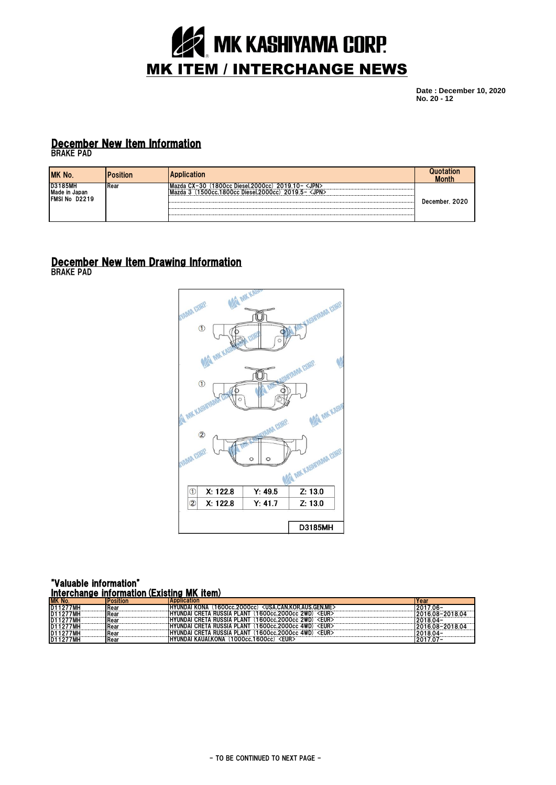

**Date : December 10, 2020 No. 20 - 12**

## December New Item Information

BRAKE PAD

| MK No.                                           | osition      | <b>Application</b>                                                                                  | otation<br><b>Month</b> |
|--------------------------------------------------|--------------|-----------------------------------------------------------------------------------------------------|-------------------------|
| <b>D3185MH</b><br>Made in Japan<br>FMSI No D2219 | <b>IRear</b> | <b>CJPN)</b><br>20<br>.2000cc<br>Diesel.<br>Occ.<br>1500cc.1800cc Diesel.2000cc)2019.5- <jpn></jpn> | December, 2020          |

## December New Item Drawing Information

BRAKE PAD



### "Valuable information" Interchange information(Existing MK item)

| M<br><b>No</b> | <b>aution</b> | Abblication                                                                      | real |  |
|----------------|---------------|----------------------------------------------------------------------------------|------|--|
|                | Rear          | <usa.can.kor.aus.gen.me`<br>ON<br/>2000cc<br/>occ.:</usa.can.kor.aus.gen.me`<br> |      |  |
|                | Rea           | $cc$ 2WD) $\leq$ EUR><br>LAN <sup>-</sup><br><b>RUSSIA</b><br>1600cc.2000cc      | 08   |  |
|                |               | <eur:<br>∽ owr'<br/><b>LAN</b><br/><b>RUSSIA</b><br/>600cc.2000cc</eur:<br>      |      |  |
|                |               | <b>RUSSIA F</b><br><b>AWP</b><br><b>LAN1</b><br>EUR<br>nnei<br>1600cc.2000cc     | n٥   |  |
|                |               | ETA RUSSIA PLANT<br><b>2000cc 4WD) <eur></eur></b>                               |      |  |
| 10 I I 4       | Rea           | <b>KAUAI.KONA</b><br>UVIINIF<br><b>EUR</b><br>1000cc.1600cc)<br>. IN             |      |  |